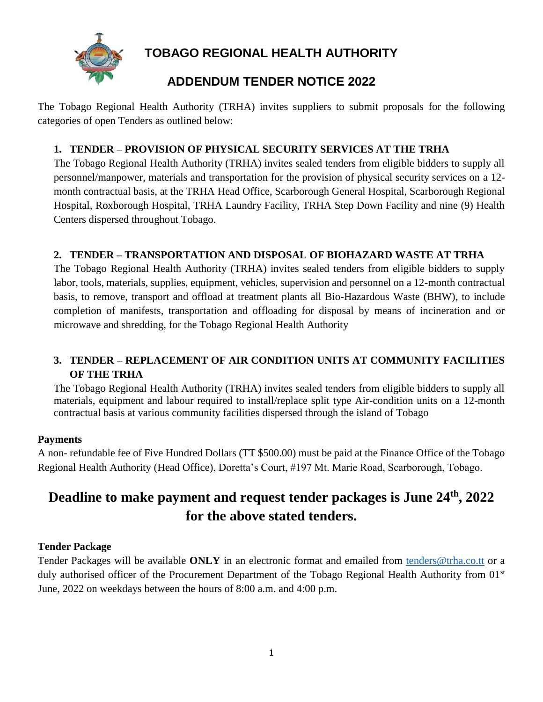

**TOBAGO REGIONAL HEALTH AUTHORITY**

# **ADDENDUM TENDER NOTICE 2022**

The Tobago Regional Health Authority (TRHA) invites suppliers to submit proposals for the following categories of open Tenders as outlined below:

## **1. TENDER – PROVISION OF PHYSICAL SECURITY SERVICES AT THE TRHA**

The Tobago Regional Health Authority (TRHA) invites sealed tenders from eligible bidders to supply all personnel/manpower, materials and transportation for the provision of physical security services on a 12 month contractual basis, at the TRHA Head Office, Scarborough General Hospital, Scarborough Regional Hospital, Roxborough Hospital, TRHA Laundry Facility, TRHA Step Down Facility and nine (9) Health Centers dispersed throughout Tobago.

## **2. TENDER – TRANSPORTATION AND DISPOSAL OF BIOHAZARD WASTE AT TRHA**

The Tobago Regional Health Authority (TRHA) invites sealed tenders from eligible bidders to supply labor, tools, materials, supplies, equipment, vehicles, supervision and personnel on a 12-month contractual basis, to remove, transport and offload at treatment plants all Bio-Hazardous Waste (BHW), to include completion of manifests, transportation and offloading for disposal by means of incineration and or microwave and shredding, for the Tobago Regional Health Authority

## **3. TENDER – REPLACEMENT OF AIR CONDITION UNITS AT COMMUNITY FACILITIES OF THE TRHA**

The Tobago Regional Health Authority (TRHA) invites sealed tenders from eligible bidders to supply all materials, equipment and labour required to install/replace split type Air-condition units on a 12-month contractual basis at various community facilities dispersed through the island of Tobago

## **Payments**

A non- refundable fee of Five Hundred Dollars (TT \$500.00) must be paid at the Finance Office of the Tobago Regional Health Authority (Head Office), Doretta's Court, #197 Mt. Marie Road, Scarborough, Tobago.

# **Deadline to make payment and request tender packages is June 24th, 2022 for the above stated tenders.**

#### **Tender Package**

Tender Packages will be available **ONLY** in an electronic format and emailed from [tenders@trha.co.tt](mailto:tenders@trha.co.tt) or a duly authorised officer of the Procurement Department of the Tobago Regional Health Authority from 01<sup>st</sup> June, 2022 on weekdays between the hours of 8:00 a.m. and 4:00 p.m.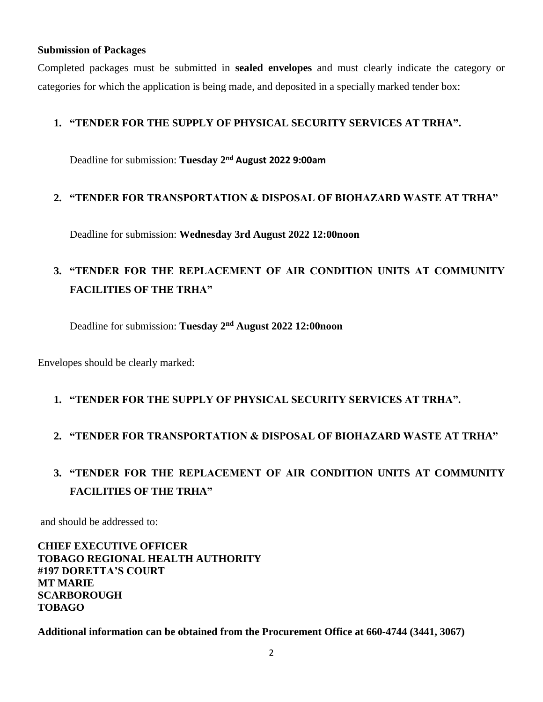#### **Submission of Packages**

Completed packages must be submitted in **sealed envelopes** and must clearly indicate the category or categories for which the application is being made, and deposited in a specially marked tender box:

#### **1. "TENDER FOR THE SUPPLY OF PHYSICAL SECURITY SERVICES AT TRHA".**

Deadline for submission: **Tuesday 2nd August 2022 9:00am**

#### **2. "TENDER FOR TRANSPORTATION & DISPOSAL OF BIOHAZARD WASTE AT TRHA"**

Deadline for submission: **Wednesday 3rd August 2022 12:00noon**

# **3. "TENDER FOR THE REPLACEMENT OF AIR CONDITION UNITS AT COMMUNITY FACILITIES OF THE TRHA"**

Deadline for submission: **Tuesday 2nd August 2022 12:00noon**

Envelopes should be clearly marked:

#### **1. "TENDER FOR THE SUPPLY OF PHYSICAL SECURITY SERVICES AT TRHA".**

#### **2. "TENDER FOR TRANSPORTATION & DISPOSAL OF BIOHAZARD WASTE AT TRHA"**

# **3. "TENDER FOR THE REPLACEMENT OF AIR CONDITION UNITS AT COMMUNITY FACILITIES OF THE TRHA"**

and should be addressed to:

**CHIEF EXECUTIVE OFFICER TOBAGO REGIONAL HEALTH AUTHORITY #197 DORETTA'S COURT MT MARIE SCARBOROUGH TOBAGO**

**Additional information can be obtained from the Procurement Office at 660-4744 (3441, 3067)**